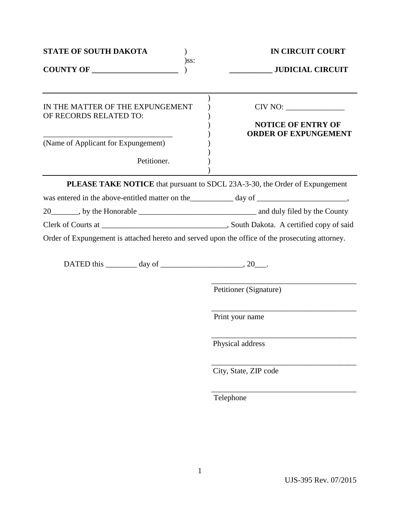| <b>STATE OF SOUTH DAKOTA</b>                                                                                                                                            |         | <b>IN CIRCUIT COURT</b>                                                     |
|-------------------------------------------------------------------------------------------------------------------------------------------------------------------------|---------|-----------------------------------------------------------------------------|
| COUNTY OF                                                                                                                                                               | $)$ ss: |                                                                             |
| IN THE MATTER OF THE EXPUNGEMENT<br>OF RECORDS RELATED TO:                                                                                                              |         | CIV NO:<br><b>NOTICE OF ENTRY OF</b><br><b>ORDER OF EXPUNGEMENT</b>         |
| (Name of Applicant for Expungement)<br>Petitioner.                                                                                                                      |         |                                                                             |
|                                                                                                                                                                         |         | PLEASE TAKE NOTICE that pursuant to SDCL 23A-3-30, the Order of Expungement |
|                                                                                                                                                                         |         |                                                                             |
|                                                                                                                                                                         |         |                                                                             |
|                                                                                                                                                                         |         |                                                                             |
| Order of Expungement is attached hereto and served upon the office of the prosecuting attorney.<br>DATED this $\_\_\_\_\_$ day of $\_\_\_\_\_\_\_\_$ , 20 $\_\_\_\_\_\$ |         |                                                                             |
|                                                                                                                                                                         |         | Petitioner (Signature)                                                      |
|                                                                                                                                                                         |         | Print your name                                                             |
|                                                                                                                                                                         |         | Physical address                                                            |
|                                                                                                                                                                         |         | City, State, ZIP code                                                       |
|                                                                                                                                                                         |         | Telephone                                                                   |
|                                                                                                                                                                         |         |                                                                             |